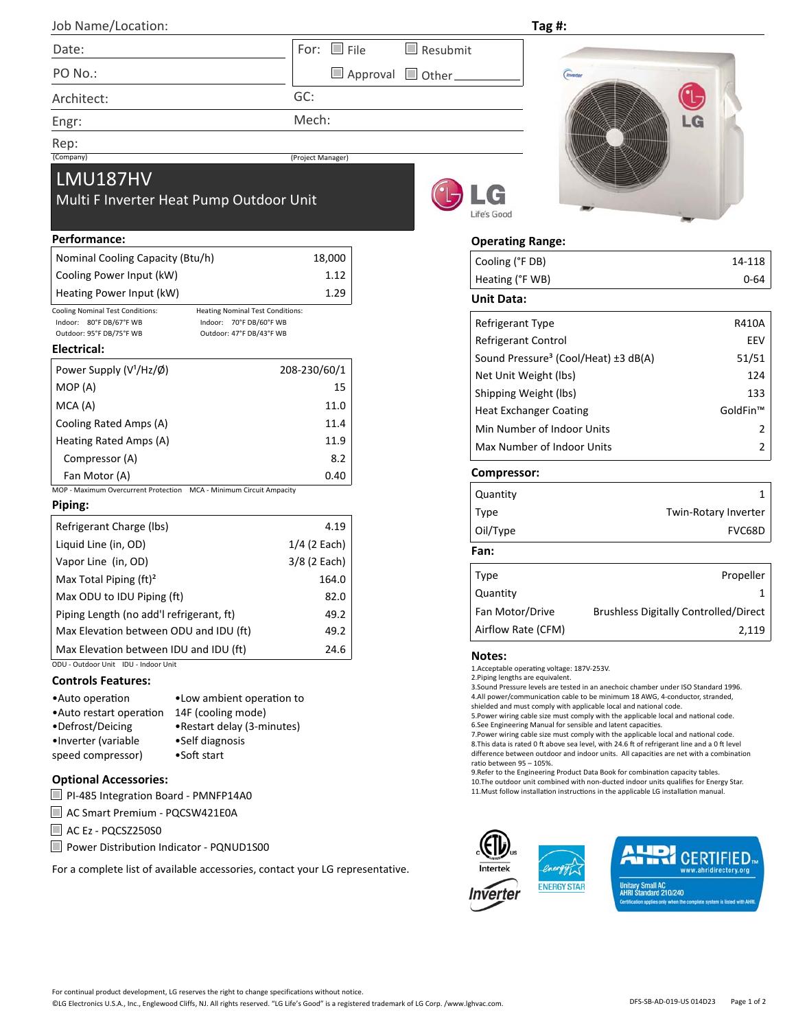| Job Name/Location:                                                                                                                                                                                                                                           |                       | Tag #:                                                                                                                                                                                                                                                                                                                                                                                                                                                                                                                                                                                                                                                                                                                                             |                                              |  |  |
|--------------------------------------------------------------------------------------------------------------------------------------------------------------------------------------------------------------------------------------------------------------|-----------------------|----------------------------------------------------------------------------------------------------------------------------------------------------------------------------------------------------------------------------------------------------------------------------------------------------------------------------------------------------------------------------------------------------------------------------------------------------------------------------------------------------------------------------------------------------------------------------------------------------------------------------------------------------------------------------------------------------------------------------------------------------|----------------------------------------------|--|--|
| Date:                                                                                                                                                                                                                                                        | $\Box$ File<br>For:   | $\blacksquare$ Resubmit                                                                                                                                                                                                                                                                                                                                                                                                                                                                                                                                                                                                                                                                                                                            |                                              |  |  |
| PO No.:                                                                                                                                                                                                                                                      |                       | Approval Other<br><i>(Inverter</i>                                                                                                                                                                                                                                                                                                                                                                                                                                                                                                                                                                                                                                                                                                                 |                                              |  |  |
| Architect:                                                                                                                                                                                                                                                   | GC:                   |                                                                                                                                                                                                                                                                                                                                                                                                                                                                                                                                                                                                                                                                                                                                                    |                                              |  |  |
| Engr:                                                                                                                                                                                                                                                        | Mech:                 |                                                                                                                                                                                                                                                                                                                                                                                                                                                                                                                                                                                                                                                                                                                                                    | $-G$                                         |  |  |
| Rep:                                                                                                                                                                                                                                                         |                       |                                                                                                                                                                                                                                                                                                                                                                                                                                                                                                                                                                                                                                                                                                                                                    |                                              |  |  |
| (Company)                                                                                                                                                                                                                                                    | (Project Manager)     |                                                                                                                                                                                                                                                                                                                                                                                                                                                                                                                                                                                                                                                                                                                                                    |                                              |  |  |
| <b>LMU187HV</b><br>Multi F Inverter Heat Pump Outdoor Unit                                                                                                                                                                                                   |                       | Life's Good                                                                                                                                                                                                                                                                                                                                                                                                                                                                                                                                                                                                                                                                                                                                        |                                              |  |  |
| Performance:                                                                                                                                                                                                                                                 |                       | <b>Operating Range:</b>                                                                                                                                                                                                                                                                                                                                                                                                                                                                                                                                                                                                                                                                                                                            |                                              |  |  |
| Nominal Cooling Capacity (Btu/h)                                                                                                                                                                                                                             | 18,000                | Cooling (°F DB)                                                                                                                                                                                                                                                                                                                                                                                                                                                                                                                                                                                                                                                                                                                                    | 14-118                                       |  |  |
| Cooling Power Input (kW)                                                                                                                                                                                                                                     | 1.12                  | Heating (°F WB)                                                                                                                                                                                                                                                                                                                                                                                                                                                                                                                                                                                                                                                                                                                                    | $0 - 64$                                     |  |  |
| Heating Power Input (kW)                                                                                                                                                                                                                                     | 1.29                  | <b>Unit Data:</b>                                                                                                                                                                                                                                                                                                                                                                                                                                                                                                                                                                                                                                                                                                                                  |                                              |  |  |
| Cooling Nominal Test Conditions:<br><b>Heating Nominal Test Conditions:</b><br>Indoor: 80°F DB/67°F WB<br>Indoor: 70°F DB/60°F WB                                                                                                                            |                       | Refrigerant Type                                                                                                                                                                                                                                                                                                                                                                                                                                                                                                                                                                                                                                                                                                                                   | R410A                                        |  |  |
| Outdoor: 95°F DB/75°F WB<br>Outdoor: 47°F DB/43°F WB                                                                                                                                                                                                         |                       | Refrigerant Control                                                                                                                                                                                                                                                                                                                                                                                                                                                                                                                                                                                                                                                                                                                                | EEV                                          |  |  |
| Electrical:                                                                                                                                                                                                                                                  |                       | Sound Pressure <sup>3</sup> (Cool/Heat) ±3 dB(A)                                                                                                                                                                                                                                                                                                                                                                                                                                                                                                                                                                                                                                                                                                   | 51/51                                        |  |  |
| Power Supply (V <sup>1</sup> /Hz/Ø)                                                                                                                                                                                                                          | 208-230/60/1          | Net Unit Weight (lbs)                                                                                                                                                                                                                                                                                                                                                                                                                                                                                                                                                                                                                                                                                                                              | 124                                          |  |  |
| MOP (A)                                                                                                                                                                                                                                                      | 15                    | Shipping Weight (lbs)                                                                                                                                                                                                                                                                                                                                                                                                                                                                                                                                                                                                                                                                                                                              | 133                                          |  |  |
| MCA(A)                                                                                                                                                                                                                                                       | 11.0                  | <b>Heat Exchanger Coating</b>                                                                                                                                                                                                                                                                                                                                                                                                                                                                                                                                                                                                                                                                                                                      | GoldFin™                                     |  |  |
| Cooling Rated Amps (A)                                                                                                                                                                                                                                       | 11.4                  | Min Number of Indoor Units                                                                                                                                                                                                                                                                                                                                                                                                                                                                                                                                                                                                                                                                                                                         | 2                                            |  |  |
| Heating Rated Amps (A)                                                                                                                                                                                                                                       | 11.9                  | Max Number of Indoor Units                                                                                                                                                                                                                                                                                                                                                                                                                                                                                                                                                                                                                                                                                                                         | 2                                            |  |  |
| Compressor (A)                                                                                                                                                                                                                                               | 8.2                   |                                                                                                                                                                                                                                                                                                                                                                                                                                                                                                                                                                                                                                                                                                                                                    |                                              |  |  |
| Fan Motor (A)                                                                                                                                                                                                                                                | 0.40                  | Compressor:                                                                                                                                                                                                                                                                                                                                                                                                                                                                                                                                                                                                                                                                                                                                        |                                              |  |  |
| MOP - Maximum Overcurrent Protection  MCA - Minimum Circuit Ampacity<br>Piping:                                                                                                                                                                              |                       | Quantity                                                                                                                                                                                                                                                                                                                                                                                                                                                                                                                                                                                                                                                                                                                                           | 1                                            |  |  |
|                                                                                                                                                                                                                                                              |                       | Type                                                                                                                                                                                                                                                                                                                                                                                                                                                                                                                                                                                                                                                                                                                                               | Twin-Rotary Inverter                         |  |  |
| Refrigerant Charge (lbs)                                                                                                                                                                                                                                     | 4.19                  | Oil/Type                                                                                                                                                                                                                                                                                                                                                                                                                                                                                                                                                                                                                                                                                                                                           | FVC68D                                       |  |  |
| Liquid Line (in, OD)                                                                                                                                                                                                                                         | $1/4$ (2 Each)        | Fan:                                                                                                                                                                                                                                                                                                                                                                                                                                                                                                                                                                                                                                                                                                                                               |                                              |  |  |
| Vapor Line (in, OD)<br>Max Total Piping (ft) <sup>2</sup>                                                                                                                                                                                                    | 3/8 (2 Each)<br>164.0 | Type                                                                                                                                                                                                                                                                                                                                                                                                                                                                                                                                                                                                                                                                                                                                               | Propeller                                    |  |  |
| Max ODU to IDU Piping (ft)                                                                                                                                                                                                                                   | 82.0                  | Quantity                                                                                                                                                                                                                                                                                                                                                                                                                                                                                                                                                                                                                                                                                                                                           |                                              |  |  |
| Piping Length (no add'l refrigerant, ft)                                                                                                                                                                                                                     | 49.2                  | Fan Motor/Drive                                                                                                                                                                                                                                                                                                                                                                                                                                                                                                                                                                                                                                                                                                                                    | <b>Brushless Digitally Controlled/Direct</b> |  |  |
| Max Elevation between ODU and IDU (ft)                                                                                                                                                                                                                       | 49.2                  | Airflow Rate (CFM)                                                                                                                                                                                                                                                                                                                                                                                                                                                                                                                                                                                                                                                                                                                                 | 2,119                                        |  |  |
| Max Elevation between IDU and IDU (ft)                                                                                                                                                                                                                       | 24.6                  |                                                                                                                                                                                                                                                                                                                                                                                                                                                                                                                                                                                                                                                                                                                                                    |                                              |  |  |
| ODU - Outdoor Unit IDU - Indoor Unit                                                                                                                                                                                                                         |                       | <b>Notes:</b><br>1.Acceptable operating voltage: 187V-253V.                                                                                                                                                                                                                                                                                                                                                                                                                                                                                                                                                                                                                                                                                        |                                              |  |  |
| <b>Controls Features:</b><br>• Low ambient operation to<br>•Auto operation<br>14F (cooling mode)<br>• Auto restart operation<br>•Defrost/Deicing<br>•Restart delay (3-minutes)<br>•Inverter (variable<br>•Self diagnosis<br>speed compressor)<br>•Soft start |                       | 2. Piping lengths are equivalent.<br>3. Sound Pressure levels are tested in an anechoic chamber under ISO Standard 1996.<br>4.All power/communication cable to be minimum 18 AWG, 4-conductor, stranded,<br>shielded and must comply with applicable local and national code.<br>5. Power wiring cable size must comply with the applicable local and national code.<br>6.See Engineering Manual for sensible and latent capacities.<br>7. Power wiring cable size must comply with the applicable local and national code.<br>8. This data is rated 0 ft above sea level, with 24.6 ft of refrigerant line and a 0 ft level<br>difference between outdoor and indoor units. All capacities are net with a combination<br>ratio between 95 - 105%. |                                              |  |  |
| <b>Optional Accessories:</b><br>DL 49E Integration Board DMANED14AO                                                                                                                                                                                          |                       | 9. Refer to the Engineering Product Data Book for combination capacity tables.<br>10. The outdoor unit combined with non-ducted indoor units qualifies for Energy Star.<br>11. Must follow installation instructions in the applicable LG installation manual.                                                                                                                                                                                                                                                                                                                                                                                                                                                                                     |                                              |  |  |

PI‐485 Integration Board ‐ PMNFP14A0

■ AC Smart Premium - PQCSW421E0A

AC Ez - PQCSZ250S0

■ Power Distribution Indicator - PQNUD1S00

For a complete list of available accessories, contact your LG representative.

**CERTIFIED** 

**ENERGY STAR** 

Inverter

idirectory.org Unitary Small AC<br>AHRI Standard 210/240 lies only when the